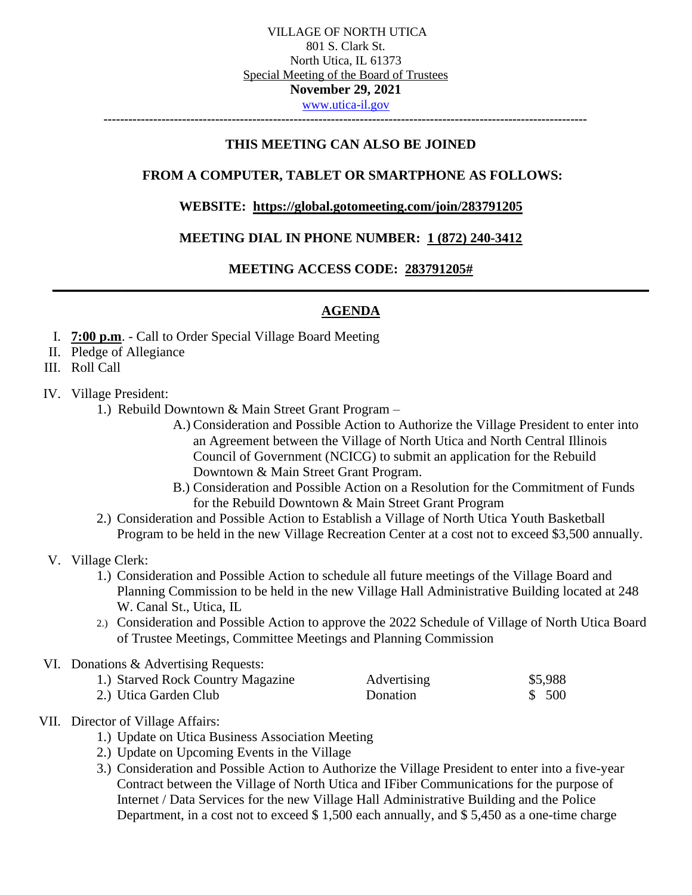**---------------------------------------------------------------------------------------------------------------------**

### **THIS MEETING CAN ALSO BE JOINED**

# **FROM A COMPUTER, TABLET OR SMARTPHONE AS FOLLOWS:**

#### **WEBSITE: <https://global.gotomeeting.com/join/283791205>**

# **MEETING DIAL IN PHONE NUMBER: [1 \(872\) 240-3412](tel:+16467493112,,728144997)**

# **MEETING ACCESS CODE: 283791205# \_\_\_\_\_\_\_\_\_\_\_\_\_\_\_\_\_\_\_\_\_\_\_\_\_\_\_\_\_\_\_\_\_\_\_\_\_\_\_\_\_\_\_\_\_\_\_\_\_\_\_\_\_\_\_\_\_\_\_\_\_\_\_\_\_\_\_\_\_\_\_\_\_\_\_\_\_\_\_\_\_\_\_\_\_\_\_\_**

# **AGENDA**

- I. **7:00 p.m**. Call to Order Special Village Board Meeting
- II. Pledge of Allegiance
- III. Roll Call
- IV. Village President:
	- 1.) Rebuild Downtown & Main Street Grant Program
		- A.) Consideration and Possible Action to Authorize the Village President to enter into an Agreement between the Village of North Utica and North Central Illinois Council of Government (NCICG) to submit an application for the Rebuild Downtown & Main Street Grant Program.
		- B.) Consideration and Possible Action on a Resolution for the Commitment of Funds for the Rebuild Downtown & Main Street Grant Program
	- 2.) Consideration and Possible Action to Establish a Village of North Utica Youth Basketball Program to be held in the new Village Recreation Center at a cost not to exceed \$3,500 annually.
- V. Village Clerk:
	- 1.) Consideration and Possible Action to schedule all future meetings of the Village Board and Planning Commission to be held in the new Village Hall Administrative Building located at 248 W. Canal St., Utica, IL
	- 2.) Consideration and Possible Action to approve the 2022 Schedule of Village of North Utica Board of Trustee Meetings, Committee Meetings and Planning Commission

#### VI. Donations & Advertising Requests:

| 1.) Starved Rock Country Magazine | Advertising | \$5,988 |
|-----------------------------------|-------------|---------|
| 2.) Utica Garden Club             | Donation    | \$ 500  |

# VII. Director of Village Affairs:

- 1.) Update on Utica Business Association Meeting
- 2.) Update on Upcoming Events in the Village
- 3.) Consideration and Possible Action to Authorize the Village President to enter into a five-year Contract between the Village of North Utica and IFiber Communications for the purpose of Internet / Data Services for the new Village Hall Administrative Building and the Police Department, in a cost not to exceed \$ 1,500 each annually, and \$ 5,450 as a one-time charge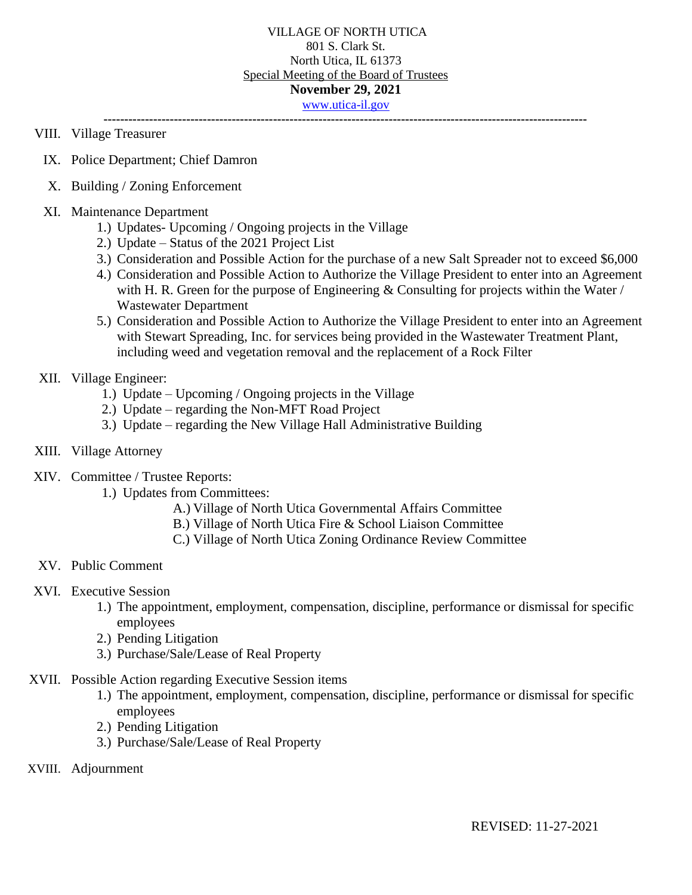**---------------------------------------------------------------------------------------------------------------------**

## VIII. Village Treasurer

- IX. Police Department; Chief Damron
- X. Building / Zoning Enforcement
- XI. Maintenance Department
	- 1.) Updates- Upcoming / Ongoing projects in the Village
	- 2.) Update Status of the 2021 Project List
	- 3.) Consideration and Possible Action for the purchase of a new Salt Spreader not to exceed \$6,000
	- 4.) Consideration and Possible Action to Authorize the Village President to enter into an Agreement with H. R. Green for the purpose of Engineering  $&$  Consulting for projects within the Water / Wastewater Department
	- 5.) Consideration and Possible Action to Authorize the Village President to enter into an Agreement with Stewart Spreading, Inc. for services being provided in the Wastewater Treatment Plant, including weed and vegetation removal and the replacement of a Rock Filter

### XII. Village Engineer:

- 1.) Update Upcoming / Ongoing projects in the Village
- 2.) Update regarding the Non-MFT Road Project
- 3.) Update regarding the New Village Hall Administrative Building

#### XIII. Village Attorney

- XIV. Committee / Trustee Reports:
	- 1.) Updates from Committees:
		- A.) Village of North Utica Governmental Affairs Committee
		- B.) Village of North Utica Fire & School Liaison Committee
		- C.) Village of North Utica Zoning Ordinance Review Committee
- XV. Public Comment
- XVI. Executive Session
	- 1.) The appointment, employment, compensation, discipline, performance or dismissal for specific employees
	- 2.) Pending Litigation
	- 3.) Purchase/Sale/Lease of Real Property
- XVII. Possible Action regarding Executive Session items
	- 1.) The appointment, employment, compensation, discipline, performance or dismissal for specific employees
	- 2.) Pending Litigation
	- 3.) Purchase/Sale/Lease of Real Property
- XVIII. Adjournment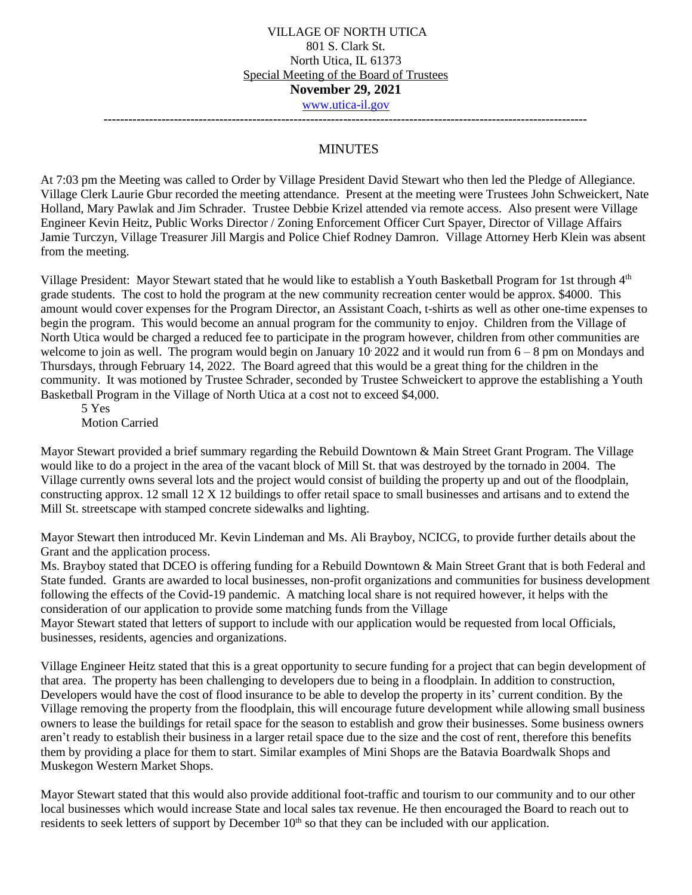**---------------------------------------------------------------------------------------------------------------------**

# MINUTES

At 7:03 pm the Meeting was called to Order by Village President David Stewart who then led the Pledge of Allegiance. Village Clerk Laurie Gbur recorded the meeting attendance. Present at the meeting were Trustees John Schweickert, Nate Holland, Mary Pawlak and Jim Schrader. Trustee Debbie Krizel attended via remote access. Also present were Village Engineer Kevin Heitz, Public Works Director / Zoning Enforcement Officer Curt Spayer, Director of Village Affairs Jamie Turczyn, Village Treasurer Jill Margis and Police Chief Rodney Damron. Village Attorney Herb Klein was absent from the meeting.

Village President: Mayor Stewart stated that he would like to establish a Youth Basketball Program for 1st through 4<sup>th</sup> grade students. The cost to hold the program at the new community recreation center would be approx. \$4000. This amount would cover expenses for the Program Director, an Assistant Coach, t-shirts as well as other one-time expenses to begin the program. This would become an annual program for the community to enjoy. Children from the Village of North Utica would be charged a reduced fee to participate in the program however, children from other communities are welcome to join as well. The program would begin on January 10, 2022 and it would run from  $6 - 8$  pm on Mondays and Thursdays, through February 14, 2022. The Board agreed that this would be a great thing for the children in the community. It was motioned by Trustee Schrader, seconded by Trustee Schweickert to approve the establishing a Youth Basketball Program in the Village of North Utica at a cost not to exceed \$4,000.

5 Yes Motion Carried

Mayor Stewart provided a brief summary regarding the Rebuild Downtown & Main Street Grant Program. The Village would like to do a project in the area of the vacant block of Mill St. that was destroyed by the tornado in 2004. The Village currently owns several lots and the project would consist of building the property up and out of the floodplain, constructing approx. 12 small 12 X 12 buildings to offer retail space to small businesses and artisans and to extend the Mill St. streetscape with stamped concrete sidewalks and lighting.

Mayor Stewart then introduced Mr. Kevin Lindeman and Ms. Ali Brayboy, NCICG, to provide further details about the Grant and the application process.

Ms. Brayboy stated that DCEO is offering funding for a Rebuild Downtown & Main Street Grant that is both Federal and State funded. Grants are awarded to local businesses, non-profit organizations and communities for business development following the effects of the Covid-19 pandemic. A matching local share is not required however, it helps with the consideration of our application to provide some matching funds from the Village

Mayor Stewart stated that letters of support to include with our application would be requested from local Officials, businesses, residents, agencies and organizations.

Village Engineer Heitz stated that this is a great opportunity to secure funding for a project that can begin development of that area. The property has been challenging to developers due to being in a floodplain. In addition to construction, Developers would have the cost of flood insurance to be able to develop the property in its' current condition. By the Village removing the property from the floodplain, this will encourage future development while allowing small business owners to lease the buildings for retail space for the season to establish and grow their businesses. Some business owners aren't ready to establish their business in a larger retail space due to the size and the cost of rent, therefore this benefits them by providing a place for them to start. Similar examples of Mini Shops are the Batavia Boardwalk Shops and Muskegon Western Market Shops.

Mayor Stewart stated that this would also provide additional foot-traffic and tourism to our community and to our other local businesses which would increase State and local sales tax revenue. He then encouraged the Board to reach out to residents to seek letters of support by December  $10<sup>th</sup>$  so that they can be included with our application.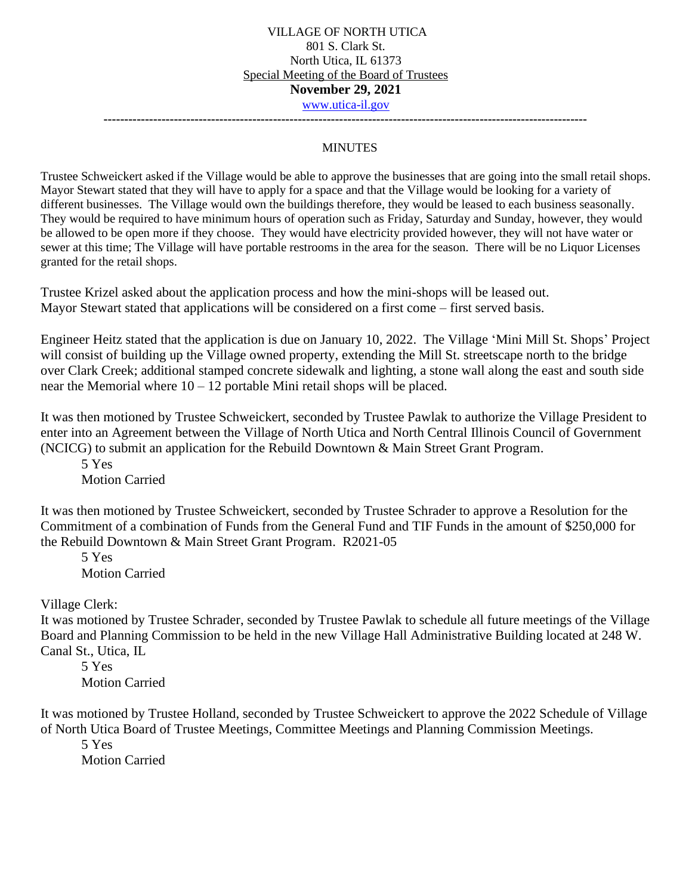**---------------------------------------------------------------------------------------------------------------------**

#### MINUTES

Trustee Schweickert asked if the Village would be able to approve the businesses that are going into the small retail shops. Mayor Stewart stated that they will have to apply for a space and that the Village would be looking for a variety of different businesses. The Village would own the buildings therefore, they would be leased to each business seasonally. They would be required to have minimum hours of operation such as Friday, Saturday and Sunday, however, they would be allowed to be open more if they choose. They would have electricity provided however, they will not have water or sewer at this time; The Village will have portable restrooms in the area for the season. There will be no Liquor Licenses granted for the retail shops.

Trustee Krizel asked about the application process and how the mini-shops will be leased out. Mayor Stewart stated that applications will be considered on a first come – first served basis.

Engineer Heitz stated that the application is due on January 10, 2022. The Village 'Mini Mill St. Shops' Project will consist of building up the Village owned property, extending the Mill St. streetscape north to the bridge over Clark Creek; additional stamped concrete sidewalk and lighting, a stone wall along the east and south side near the Memorial where  $10 - 12$  portable Mini retail shops will be placed.

It was then motioned by Trustee Schweickert, seconded by Trustee Pawlak to authorize the Village President to enter into an Agreement between the Village of North Utica and North Central Illinois Council of Government (NCICG) to submit an application for the Rebuild Downtown & Main Street Grant Program.

5 Yes Motion Carried

It was then motioned by Trustee Schweickert, seconded by Trustee Schrader to approve a Resolution for the Commitment of a combination of Funds from the General Fund and TIF Funds in the amount of \$250,000 for the Rebuild Downtown & Main Street Grant Program. R2021-05

5 Yes Motion Carried

Village Clerk:

It was motioned by Trustee Schrader, seconded by Trustee Pawlak to schedule all future meetings of the Village Board and Planning Commission to be held in the new Village Hall Administrative Building located at 248 W. Canal St., Utica, IL

5 Yes Motion Carried

It was motioned by Trustee Holland, seconded by Trustee Schweickert to approve the 2022 Schedule of Village of North Utica Board of Trustee Meetings, Committee Meetings and Planning Commission Meetings.

5 Yes Motion Carried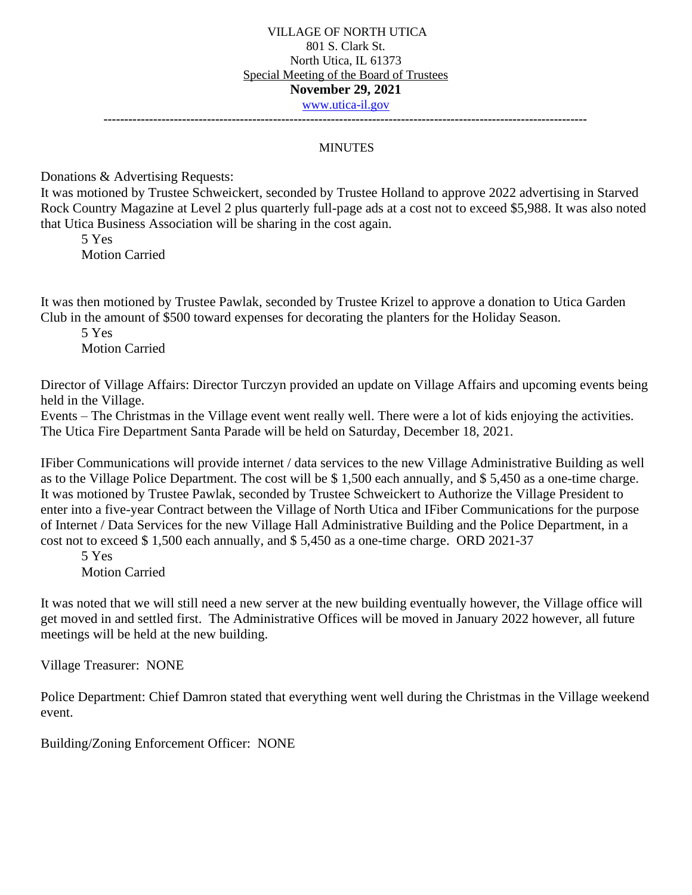**---------------------------------------------------------------------------------------------------------------------**

#### **MINUTES**

Donations & Advertising Requests:

It was motioned by Trustee Schweickert, seconded by Trustee Holland to approve 2022 advertising in Starved Rock Country Magazine at Level 2 plus quarterly full-page ads at a cost not to exceed \$5,988. It was also noted that Utica Business Association will be sharing in the cost again.

5 Yes Motion Carried

It was then motioned by Trustee Pawlak, seconded by Trustee Krizel to approve a donation to Utica Garden Club in the amount of \$500 toward expenses for decorating the planters for the Holiday Season.

5 Yes Motion Carried

Director of Village Affairs: Director Turczyn provided an update on Village Affairs and upcoming events being held in the Village.

Events – The Christmas in the Village event went really well. There were a lot of kids enjoying the activities. The Utica Fire Department Santa Parade will be held on Saturday, December 18, 2021.

IFiber Communications will provide internet / data services to the new Village Administrative Building as well as to the Village Police Department. The cost will be \$ 1,500 each annually, and \$ 5,450 as a one-time charge. It was motioned by Trustee Pawlak, seconded by Trustee Schweickert to Authorize the Village President to enter into a five-year Contract between the Village of North Utica and IFiber Communications for the purpose of Internet / Data Services for the new Village Hall Administrative Building and the Police Department, in a cost not to exceed \$ 1,500 each annually, and \$ 5,450 as a one-time charge. ORD 2021-37

5 Yes Motion Carried

It was noted that we will still need a new server at the new building eventually however, the Village office will get moved in and settled first. The Administrative Offices will be moved in January 2022 however, all future meetings will be held at the new building.

Village Treasurer: NONE

Police Department: Chief Damron stated that everything went well during the Christmas in the Village weekend event.

Building/Zoning Enforcement Officer: NONE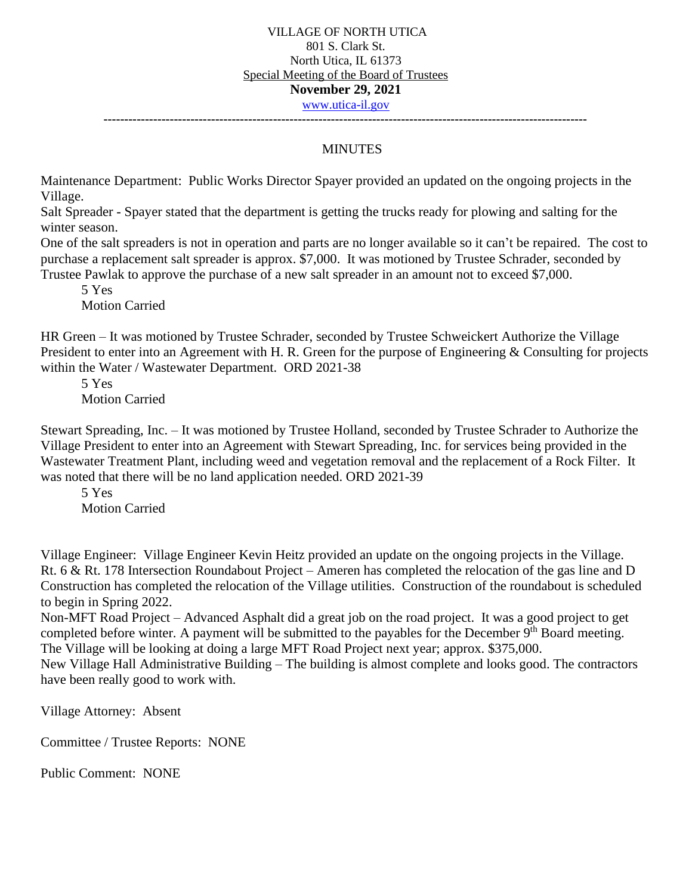**---------------------------------------------------------------------------------------------------------------------**

# MINUTES

Maintenance Department: Public Works Director Spayer provided an updated on the ongoing projects in the Village.

Salt Spreader - Spayer stated that the department is getting the trucks ready for plowing and salting for the winter season.

One of the salt spreaders is not in operation and parts are no longer available so it can't be repaired. The cost to purchase a replacement salt spreader is approx. \$7,000. It was motioned by Trustee Schrader, seconded by Trustee Pawlak to approve the purchase of a new salt spreader in an amount not to exceed \$7,000.

5 Yes

Motion Carried

HR Green – It was motioned by Trustee Schrader, seconded by Trustee Schweickert Authorize the Village President to enter into an Agreement with H. R. Green for the purpose of Engineering & Consulting for projects within the Water / Wastewater Department. ORD 2021-38

5 Yes Motion Carried

Stewart Spreading, Inc. – It was motioned by Trustee Holland, seconded by Trustee Schrader to Authorize the Village President to enter into an Agreement with Stewart Spreading, Inc. for services being provided in the Wastewater Treatment Plant, including weed and vegetation removal and the replacement of a Rock Filter. It was noted that there will be no land application needed. ORD 2021-39

5 Yes Motion Carried

Village Engineer: Village Engineer Kevin Heitz provided an update on the ongoing projects in the Village. Rt. 6 & Rt. 178 Intersection Roundabout Project – Ameren has completed the relocation of the gas line and D Construction has completed the relocation of the Village utilities. Construction of the roundabout is scheduled to begin in Spring 2022.

Non-MFT Road Project – Advanced Asphalt did a great job on the road project. It was a good project to get completed before winter. A payment will be submitted to the payables for the December 9<sup>th</sup> Board meeting. The Village will be looking at doing a large MFT Road Project next year; approx. \$375,000.

New Village Hall Administrative Building – The building is almost complete and looks good. The contractors have been really good to work with.

Village Attorney: Absent

Committee / Trustee Reports: NONE

Public Comment: NONE